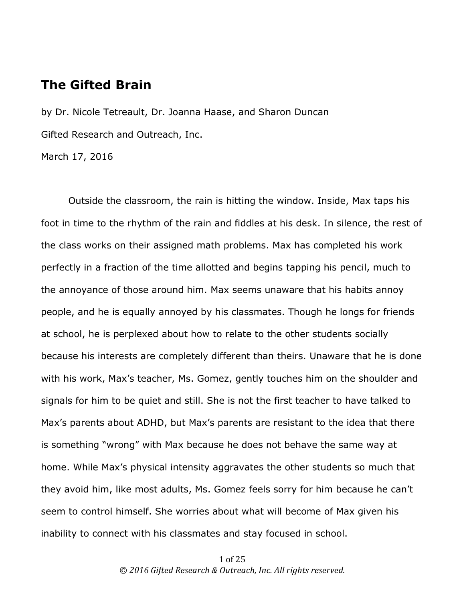# **The Gifted Brain**

by Dr. Nicole Tetreault, Dr. Joanna Haase, and Sharon Duncan Gifted Research and Outreach, Inc.

March 17, 2016

Outside the classroom, the rain is hitting the window. Inside, Max taps his foot in time to the rhythm of the rain and fiddles at his desk. In silence, the rest of the class works on their assigned math problems. Max has completed his work perfectly in a fraction of the time allotted and begins tapping his pencil, much to the annoyance of those around him. Max seems unaware that his habits annoy people, and he is equally annoyed by his classmates. Though he longs for friends at school, he is perplexed about how to relate to the other students socially because his interests are completely different than theirs. Unaware that he is done with his work, Max's teacher, Ms. Gomez, gently touches him on the shoulder and signals for him to be quiet and still. She is not the first teacher to have talked to Max's parents about ADHD, but Max's parents are resistant to the idea that there is something "wrong" with Max because he does not behave the same way at home. While Max's physical intensity aggravates the other students so much that they avoid him, like most adults, Ms. Gomez feels sorry for him because he can't seem to control himself. She worries about what will become of Max given his inability to connect with his classmates and stay focused in school.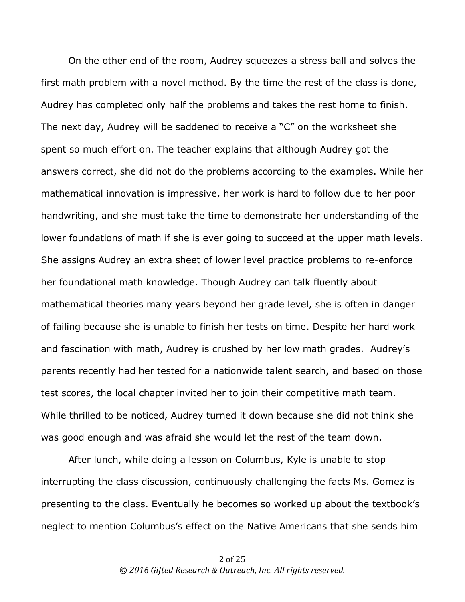On the other end of the room, Audrey squeezes a stress ball and solves the first math problem with a novel method. By the time the rest of the class is done, Audrey has completed only half the problems and takes the rest home to finish. The next day, Audrey will be saddened to receive a "C" on the worksheet she spent so much effort on. The teacher explains that although Audrey got the answers correct, she did not do the problems according to the examples. While her mathematical innovation is impressive, her work is hard to follow due to her poor handwriting, and she must take the time to demonstrate her understanding of the lower foundations of math if she is ever going to succeed at the upper math levels. She assigns Audrey an extra sheet of lower level practice problems to re-enforce her foundational math knowledge. Though Audrey can talk fluently about mathematical theories many years beyond her grade level, she is often in danger of failing because she is unable to finish her tests on time. Despite her hard work and fascination with math, Audrey is crushed by her low math grades. Audrey's parents recently had her tested for a nationwide talent search, and based on those test scores, the local chapter invited her to join their competitive math team. While thrilled to be noticed, Audrey turned it down because she did not think she was good enough and was afraid she would let the rest of the team down.

After lunch, while doing a lesson on Columbus, Kyle is unable to stop interrupting the class discussion, continuously challenging the facts Ms. Gomez is presenting to the class. Eventually he becomes so worked up about the textbook's neglect to mention Columbus's effect on the Native Americans that she sends him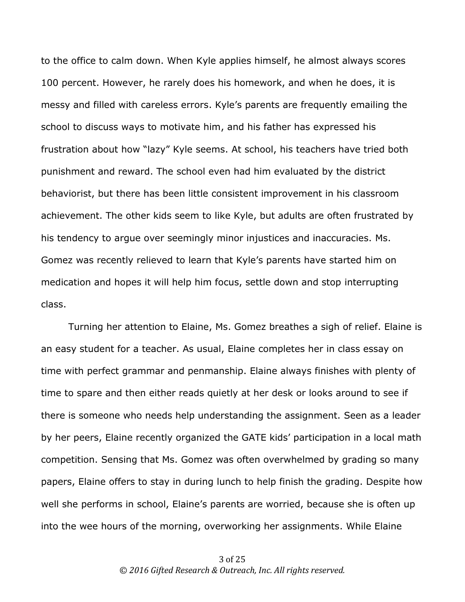to the office to calm down. When Kyle applies himself, he almost always scores 100 percent. However, he rarely does his homework, and when he does, it is messy and filled with careless errors. Kyle's parents are frequently emailing the school to discuss ways to motivate him, and his father has expressed his frustration about how "lazy" Kyle seems. At school, his teachers have tried both punishment and reward. The school even had him evaluated by the district behaviorist, but there has been little consistent improvement in his classroom achievement. The other kids seem to like Kyle, but adults are often frustrated by his tendency to argue over seemingly minor injustices and inaccuracies. Ms. Gomez was recently relieved to learn that Kyle's parents have started him on medication and hopes it will help him focus, settle down and stop interrupting class.

Turning her attention to Elaine, Ms. Gomez breathes a sigh of relief. Elaine is an easy student for a teacher. As usual, Elaine completes her in class essay on time with perfect grammar and penmanship. Elaine always finishes with plenty of time to spare and then either reads quietly at her desk or looks around to see if there is someone who needs help understanding the assignment. Seen as a leader by her peers, Elaine recently organized the GATE kids' participation in a local math competition. Sensing that Ms. Gomez was often overwhelmed by grading so many papers, Elaine offers to stay in during lunch to help finish the grading. Despite how well she performs in school, Elaine's parents are worried, because she is often up into the wee hours of the morning, overworking her assignments. While Elaine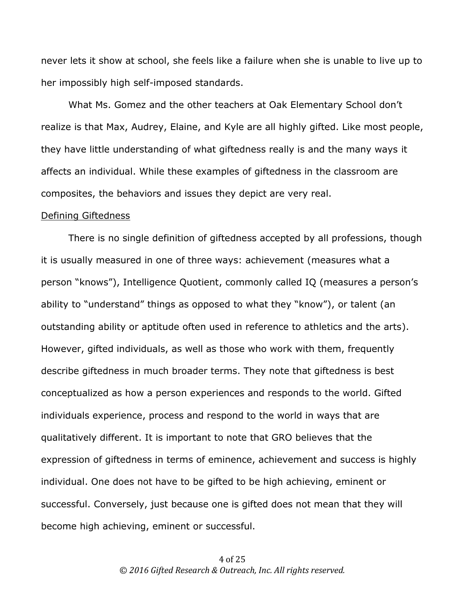never lets it show at school, she feels like a failure when she is unable to live up to her impossibly high self-imposed standards.

What Ms. Gomez and the other teachers at Oak Elementary School don't realize is that Max, Audrey, Elaine, and Kyle are all highly gifted. Like most people, they have little understanding of what giftedness really is and the many ways it affects an individual. While these examples of giftedness in the classroom are composites, the behaviors and issues they depict are very real.

### Defining Giftedness

There is no single definition of giftedness accepted by all professions, though it is usually measured in one of three ways: achievement (measures what a person "knows"), Intelligence Quotient, commonly called IQ (measures a person's ability to "understand" things as opposed to what they "know"), or talent (an outstanding ability or aptitude often used in reference to athletics and the arts). However, gifted individuals, as well as those who work with them, frequently describe giftedness in much broader terms. They note that giftedness is best conceptualized as how a person experiences and responds to the world. Gifted individuals experience, process and respond to the world in ways that are qualitatively different. It is important to note that GRO believes that the expression of giftedness in terms of eminence, achievement and success is highly individual. One does not have to be gifted to be high achieving, eminent or successful. Conversely, just because one is gifted does not mean that they will become high achieving, eminent or successful.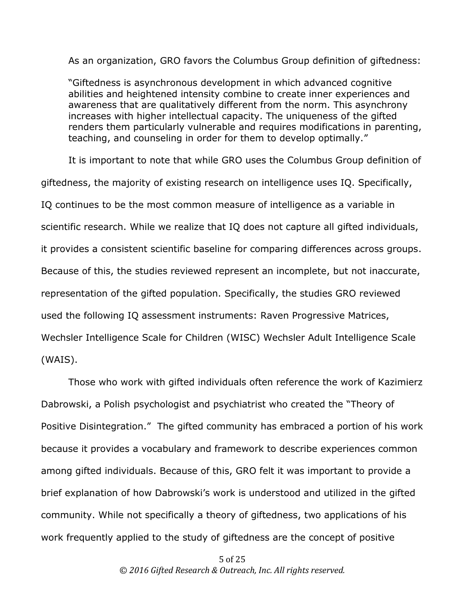As an organization, GRO favors the Columbus Group definition of giftedness:

"Giftedness is asynchronous development in which advanced cognitive abilities and heightened intensity combine to create inner experiences and awareness that are qualitatively different from the norm. This asynchrony increases with higher intellectual capacity. The uniqueness of the gifted renders them particularly vulnerable and requires modifications in parenting, teaching, and counseling in order for them to develop optimally."

It is important to note that while GRO uses the Columbus Group definition of giftedness, the majority of existing research on intelligence uses IQ. Specifically, IQ continues to be the most common measure of intelligence as a variable in scientific research. While we realize that IQ does not capture all gifted individuals, it provides a consistent scientific baseline for comparing differences across groups. Because of this, the studies reviewed represent an incomplete, but not inaccurate, representation of the gifted population. Specifically, the studies GRO reviewed used the following IQ assessment instruments: Raven Progressive Matrices, Wechsler Intelligence Scale for Children (WISC) Wechsler Adult Intelligence Scale (WAIS).

Those who work with gifted individuals often reference the work of Kazimierz Dabrowski, a Polish psychologist and psychiatrist who created the "Theory of Positive Disintegration." The gifted community has embraced a portion of his work because it provides a vocabulary and framework to describe experiences common among gifted individuals. Because of this, GRO felt it was important to provide a brief explanation of how Dabrowski's work is understood and utilized in the gifted community. While not specifically a theory of giftedness, two applications of his work frequently applied to the study of giftedness are the concept of positive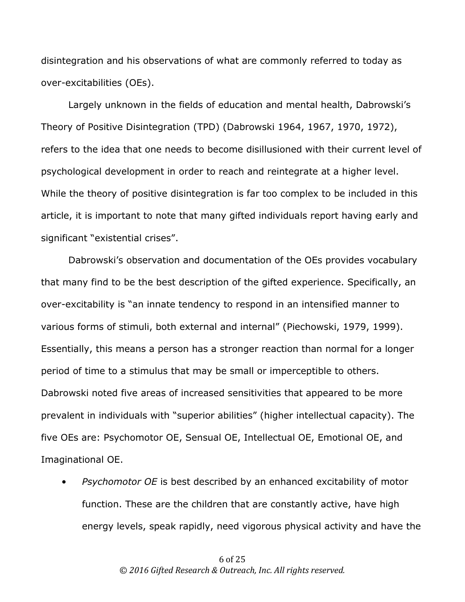disintegration and his observations of what are commonly referred to today as over-excitabilities (OEs).

Largely unknown in the fields of education and mental health, Dabrowski's Theory of Positive Disintegration (TPD) (Dabrowski 1964, 1967, 1970, 1972), refers to the idea that one needs to become disillusioned with their current level of psychological development in order to reach and reintegrate at a higher level. While the theory of positive disintegration is far too complex to be included in this article, it is important to note that many gifted individuals report having early and significant "existential crises".

Dabrowski's observation and documentation of the OEs provides vocabulary that many find to be the best description of the gifted experience. Specifically, an over-excitability is "an innate tendency to respond in an intensified manner to various forms of stimuli, both external and internal" (Piechowski, 1979, 1999). Essentially, this means a person has a stronger reaction than normal for a longer period of time to a stimulus that may be small or imperceptible to others. Dabrowski noted five areas of increased sensitivities that appeared to be more prevalent in individuals with "superior abilities" (higher intellectual capacity). The five OEs are: Psychomotor OE, Sensual OE, Intellectual OE, Emotional OE, and Imaginational OE.

• *Psychomotor OE* is best described by an enhanced excitability of motor function. These are the children that are constantly active, have high energy levels, speak rapidly, need vigorous physical activity and have the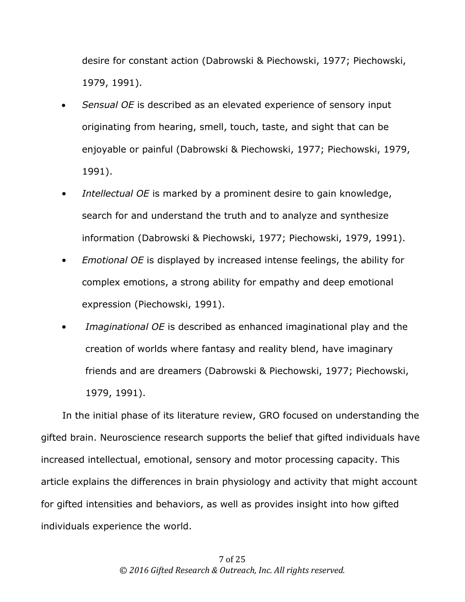desire for constant action (Dabrowski & Piechowski, 1977; Piechowski, 1979, 1991).

- *Sensual OE* is described as an elevated experience of sensory input originating from hearing, smell, touch, taste, and sight that can be enjoyable or painful (Dabrowski & Piechowski, 1977; Piechowski, 1979, 1991).
- *Intellectual OE* is marked by a prominent desire to gain knowledge, search for and understand the truth and to analyze and synthesize information (Dabrowski & Piechowski, 1977; Piechowski, 1979, 1991).
- *Emotional OE* is displayed by increased intense feelings, the ability for complex emotions, a strong ability for empathy and deep emotional expression (Piechowski, 1991).
- *Imaginational OE* is described as enhanced imaginational play and the creation of worlds where fantasy and reality blend, have imaginary friends and are dreamers (Dabrowski & Piechowski, 1977; Piechowski, 1979, 1991).

In the initial phase of its literature review, GRO focused on understanding the gifted brain. Neuroscience research supports the belief that gifted individuals have increased intellectual, emotional, sensory and motor processing capacity. This article explains the differences in brain physiology and activity that might account for gifted intensities and behaviors, as well as provides insight into how gifted individuals experience the world.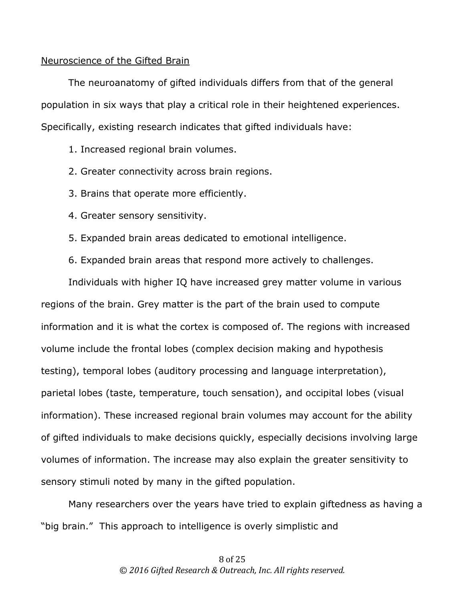### Neuroscience of the Gifted Brain

The neuroanatomy of gifted individuals differs from that of the general population in six ways that play a critical role in their heightened experiences. Specifically, existing research indicates that gifted individuals have:

1. Increased regional brain volumes.

- 2. Greater connectivity across brain regions.
- 3. Brains that operate more efficiently.
- 4. Greater sensory sensitivity.
- 5. Expanded brain areas dedicated to emotional intelligence.
- 6. Expanded brain areas that respond more actively to challenges.

Individuals with higher IQ have increased grey matter volume in various regions of the brain. Grey matter is the part of the brain used to compute information and it is what the cortex is composed of. The regions with increased volume include the frontal lobes (complex decision making and hypothesis testing), temporal lobes (auditory processing and language interpretation), parietal lobes (taste, temperature, touch sensation), and occipital lobes (visual information). These increased regional brain volumes may account for the ability of gifted individuals to make decisions quickly, especially decisions involving large volumes of information. The increase may also explain the greater sensitivity to sensory stimuli noted by many in the gifted population.

Many researchers over the years have tried to explain giftedness as having a "big brain." This approach to intelligence is overly simplistic and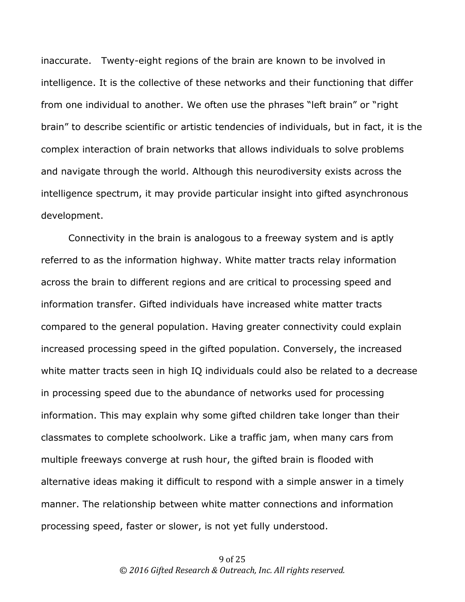inaccurate. Twenty-eight regions of the brain are known to be involved in intelligence. It is the collective of these networks and their functioning that differ from one individual to another. We often use the phrases "left brain" or "right brain" to describe scientific or artistic tendencies of individuals, but in fact, it is the complex interaction of brain networks that allows individuals to solve problems and navigate through the world. Although this neurodiversity exists across the intelligence spectrum, it may provide particular insight into gifted asynchronous development.

Connectivity in the brain is analogous to a freeway system and is aptly referred to as the information highway. White matter tracts relay information across the brain to different regions and are critical to processing speed and information transfer. Gifted individuals have increased white matter tracts compared to the general population. Having greater connectivity could explain increased processing speed in the gifted population. Conversely, the increased white matter tracts seen in high IQ individuals could also be related to a decrease in processing speed due to the abundance of networks used for processing information. This may explain why some gifted children take longer than their classmates to complete schoolwork. Like a traffic jam, when many cars from multiple freeways converge at rush hour, the gifted brain is flooded with alternative ideas making it difficult to respond with a simple answer in a timely manner. The relationship between white matter connections and information processing speed, faster or slower, is not yet fully understood.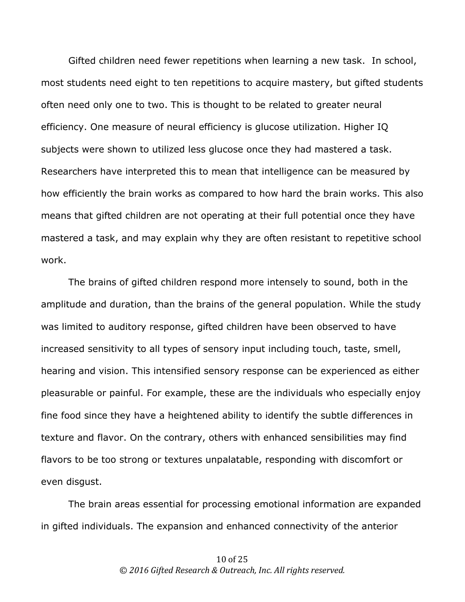Gifted children need fewer repetitions when learning a new task. In school, most students need eight to ten repetitions to acquire mastery, but gifted students often need only one to two. This is thought to be related to greater neural efficiency. One measure of neural efficiency is glucose utilization. Higher IQ subjects were shown to utilized less glucose once they had mastered a task. Researchers have interpreted this to mean that intelligence can be measured by how efficiently the brain works as compared to how hard the brain works. This also means that gifted children are not operating at their full potential once they have mastered a task, and may explain why they are often resistant to repetitive school work.

The brains of gifted children respond more intensely to sound, both in the amplitude and duration, than the brains of the general population. While the study was limited to auditory response, gifted children have been observed to have increased sensitivity to all types of sensory input including touch, taste, smell, hearing and vision. This intensified sensory response can be experienced as either pleasurable or painful. For example, these are the individuals who especially enjoy fine food since they have a heightened ability to identify the subtle differences in texture and flavor. On the contrary, others with enhanced sensibilities may find flavors to be too strong or textures unpalatable, responding with discomfort or even disgust.

The brain areas essential for processing emotional information are expanded in gifted individuals. The expansion and enhanced connectivity of the anterior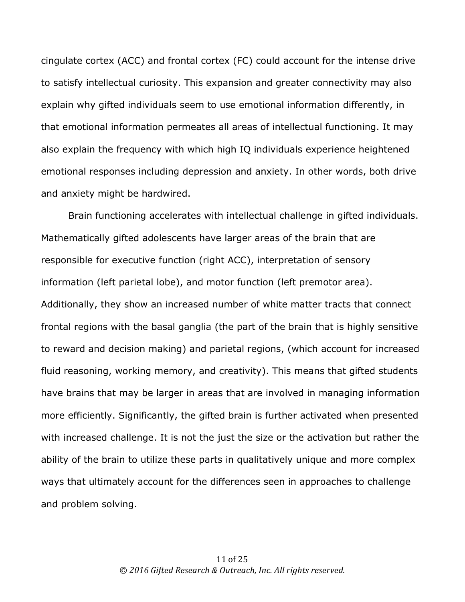cingulate cortex (ACC) and frontal cortex (FC) could account for the intense drive to satisfy intellectual curiosity. This expansion and greater connectivity may also explain why gifted individuals seem to use emotional information differently, in that emotional information permeates all areas of intellectual functioning. It may also explain the frequency with which high IQ individuals experience heightened emotional responses including depression and anxiety. In other words, both drive and anxiety might be hardwired.

Brain functioning accelerates with intellectual challenge in gifted individuals. Mathematically gifted adolescents have larger areas of the brain that are responsible for executive function (right ACC), interpretation of sensory information (left parietal lobe), and motor function (left premotor area). Additionally, they show an increased number of white matter tracts that connect frontal regions with the basal ganglia (the part of the brain that is highly sensitive to reward and decision making) and parietal regions, (which account for increased fluid reasoning, working memory, and creativity). This means that gifted students have brains that may be larger in areas that are involved in managing information more efficiently. Significantly, the gifted brain is further activated when presented with increased challenge. It is not the just the size or the activation but rather the ability of the brain to utilize these parts in qualitatively unique and more complex ways that ultimately account for the differences seen in approaches to challenge and problem solving.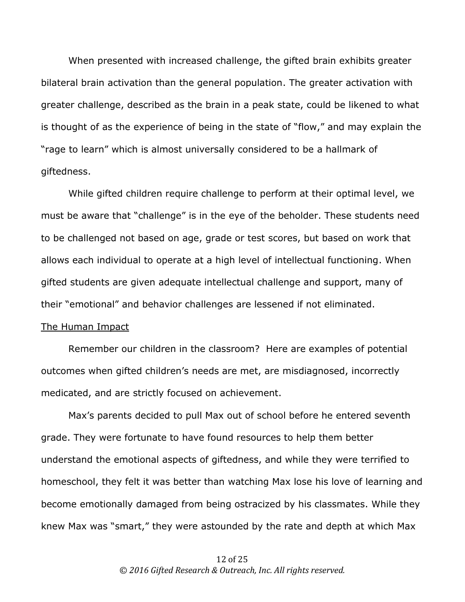When presented with increased challenge, the gifted brain exhibits greater bilateral brain activation than the general population. The greater activation with greater challenge, described as the brain in a peak state, could be likened to what is thought of as the experience of being in the state of "flow," and may explain the "rage to learn" which is almost universally considered to be a hallmark of giftedness.

While gifted children require challenge to perform at their optimal level, we must be aware that "challenge" is in the eye of the beholder. These students need to be challenged not based on age, grade or test scores, but based on work that allows each individual to operate at a high level of intellectual functioning. When gifted students are given adequate intellectual challenge and support, many of their "emotional" and behavior challenges are lessened if not eliminated.

## The Human Impact

Remember our children in the classroom? Here are examples of potential outcomes when gifted children's needs are met, are misdiagnosed, incorrectly medicated, and are strictly focused on achievement.

Max's parents decided to pull Max out of school before he entered seventh grade. They were fortunate to have found resources to help them better understand the emotional aspects of giftedness, and while they were terrified to homeschool, they felt it was better than watching Max lose his love of learning and become emotionally damaged from being ostracized by his classmates. While they knew Max was "smart," they were astounded by the rate and depth at which Max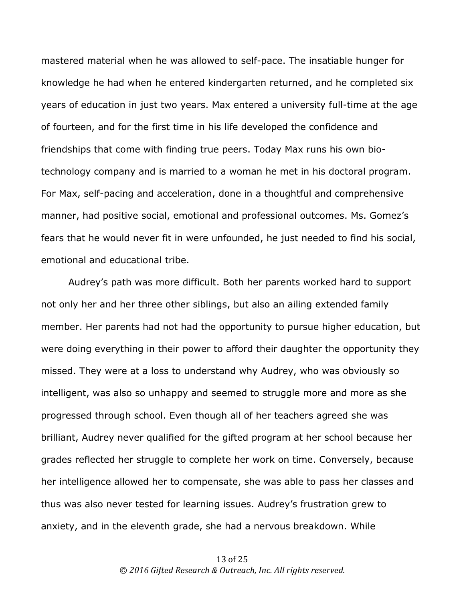mastered material when he was allowed to self-pace. The insatiable hunger for knowledge he had when he entered kindergarten returned, and he completed six years of education in just two years. Max entered a university full-time at the age of fourteen, and for the first time in his life developed the confidence and friendships that come with finding true peers. Today Max runs his own biotechnology company and is married to a woman he met in his doctoral program. For Max, self-pacing and acceleration, done in a thoughtful and comprehensive manner, had positive social, emotional and professional outcomes. Ms. Gomez's fears that he would never fit in were unfounded, he just needed to find his social, emotional and educational tribe.

Audrey's path was more difficult. Both her parents worked hard to support not only her and her three other siblings, but also an ailing extended family member. Her parents had not had the opportunity to pursue higher education, but were doing everything in their power to afford their daughter the opportunity they missed. They were at a loss to understand why Audrey, who was obviously so intelligent, was also so unhappy and seemed to struggle more and more as she progressed through school. Even though all of her teachers agreed she was brilliant, Audrey never qualified for the gifted program at her school because her grades reflected her struggle to complete her work on time. Conversely, because her intelligence allowed her to compensate, she was able to pass her classes and thus was also never tested for learning issues. Audrey's frustration grew to anxiety, and in the eleventh grade, she had a nervous breakdown. While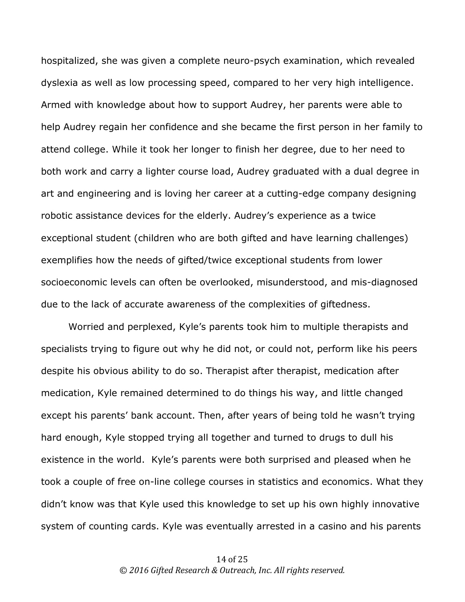hospitalized, she was given a complete neuro-psych examination, which revealed dyslexia as well as low processing speed, compared to her very high intelligence. Armed with knowledge about how to support Audrey, her parents were able to help Audrey regain her confidence and she became the first person in her family to attend college. While it took her longer to finish her degree, due to her need to both work and carry a lighter course load, Audrey graduated with a dual degree in art and engineering and is loving her career at a cutting-edge company designing robotic assistance devices for the elderly. Audrey's experience as a twice exceptional student (children who are both gifted and have learning challenges) exemplifies how the needs of gifted/twice exceptional students from lower socioeconomic levels can often be overlooked, misunderstood, and mis-diagnosed due to the lack of accurate awareness of the complexities of giftedness.

Worried and perplexed, Kyle's parents took him to multiple therapists and specialists trying to figure out why he did not, or could not, perform like his peers despite his obvious ability to do so. Therapist after therapist, medication after medication, Kyle remained determined to do things his way, and little changed except his parents' bank account. Then, after years of being told he wasn't trying hard enough, Kyle stopped trying all together and turned to drugs to dull his existence in the world. Kyle's parents were both surprised and pleased when he took a couple of free on-line college courses in statistics and economics. What they didn't know was that Kyle used this knowledge to set up his own highly innovative system of counting cards. Kyle was eventually arrested in a casino and his parents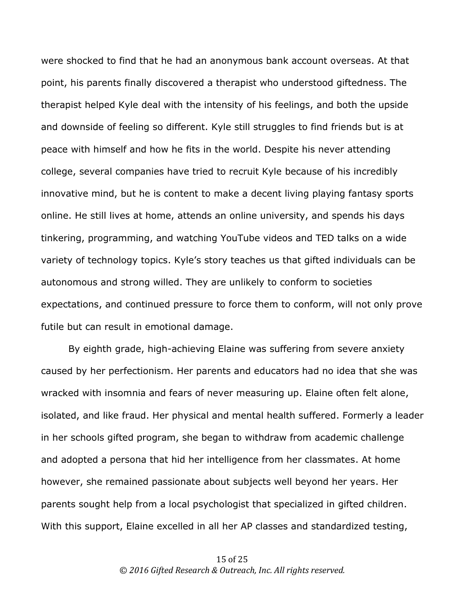were shocked to find that he had an anonymous bank account overseas. At that point, his parents finally discovered a therapist who understood giftedness. The therapist helped Kyle deal with the intensity of his feelings, and both the upside and downside of feeling so different. Kyle still struggles to find friends but is at peace with himself and how he fits in the world. Despite his never attending college, several companies have tried to recruit Kyle because of his incredibly innovative mind, but he is content to make a decent living playing fantasy sports online. He still lives at home, attends an online university, and spends his days tinkering, programming, and watching YouTube videos and TED talks on a wide variety of technology topics. Kyle's story teaches us that gifted individuals can be autonomous and strong willed. They are unlikely to conform to societies expectations, and continued pressure to force them to conform, will not only prove futile but can result in emotional damage.

By eighth grade, high-achieving Elaine was suffering from severe anxiety caused by her perfectionism. Her parents and educators had no idea that she was wracked with insomnia and fears of never measuring up. Elaine often felt alone, isolated, and like fraud. Her physical and mental health suffered. Formerly a leader in her schools gifted program, she began to withdraw from academic challenge and adopted a persona that hid her intelligence from her classmates. At home however, she remained passionate about subjects well beyond her years. Her parents sought help from a local psychologist that specialized in gifted children. With this support, Elaine excelled in all her AP classes and standardized testing,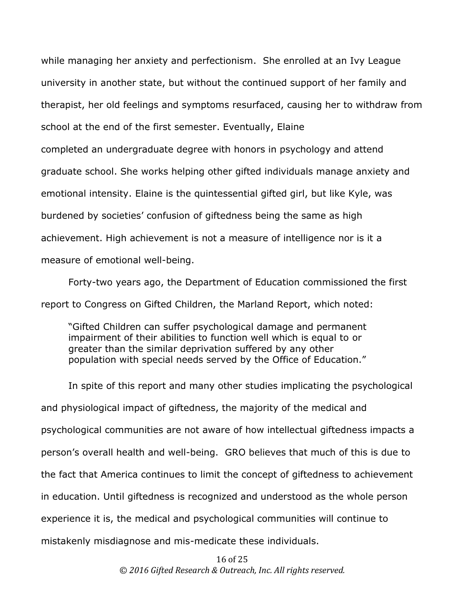while managing her anxiety and perfectionism. She enrolled at an Ivy League university in another state, but without the continued support of her family and therapist, her old feelings and symptoms resurfaced, causing her to withdraw from school at the end of the first semester. Eventually, Elaine completed an undergraduate degree with honors in psychology and attend graduate school. She works helping other gifted individuals manage anxiety and emotional intensity. Elaine is the quintessential gifted girl, but like Kyle, was burdened by societies' confusion of giftedness being the same as high achievement. High achievement is not a measure of intelligence nor is it a measure of emotional well-being.

Forty-two years ago, the Department of Education commissioned the first report to Congress on Gifted Children, the Marland Report, which noted:

"Gifted Children can suffer psychological damage and permanent impairment of their abilities to function well which is equal to or greater than the similar deprivation suffered by any other population with special needs served by the Office of Education."

In spite of this report and many other studies implicating the psychological and physiological impact of giftedness, the majority of the medical and psychological communities are not aware of how intellectual giftedness impacts a person's overall health and well-being. GRO believes that much of this is due to the fact that America continues to limit the concept of giftedness to achievement in education. Until giftedness is recognized and understood as the whole person experience it is, the medical and psychological communities will continue to mistakenly misdiagnose and mis-medicate these individuals.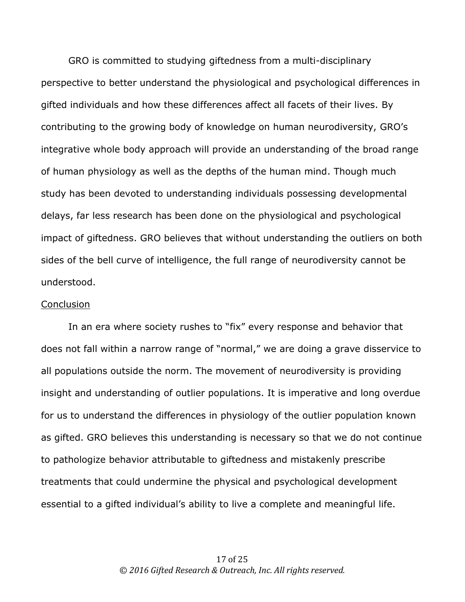GRO is committed to studying giftedness from a multi-disciplinary perspective to better understand the physiological and psychological differences in gifted individuals and how these differences affect all facets of their lives. By contributing to the growing body of knowledge on human neurodiversity, GRO's integrative whole body approach will provide an understanding of the broad range of human physiology as well as the depths of the human mind. Though much study has been devoted to understanding individuals possessing developmental delays, far less research has been done on the physiological and psychological impact of giftedness. GRO believes that without understanding the outliers on both sides of the bell curve of intelligence, the full range of neurodiversity cannot be understood.

#### **Conclusion**

In an era where society rushes to "fix" every response and behavior that does not fall within a narrow range of "normal," we are doing a grave disservice to all populations outside the norm. The movement of neurodiversity is providing insight and understanding of outlier populations. It is imperative and long overdue for us to understand the differences in physiology of the outlier population known as gifted. GRO believes this understanding is necessary so that we do not continue to pathologize behavior attributable to giftedness and mistakenly prescribe treatments that could undermine the physical and psychological development essential to a gifted individual's ability to live a complete and meaningful life.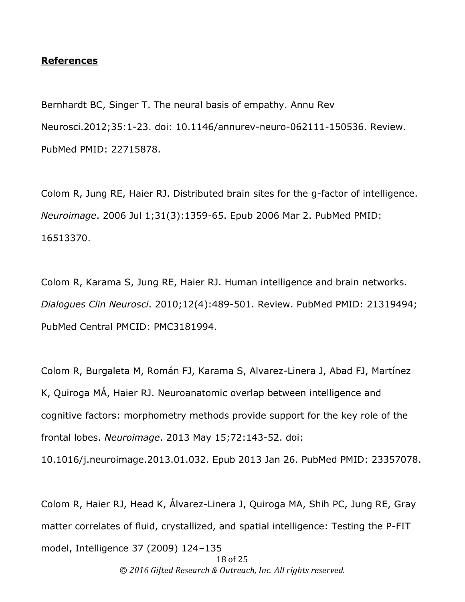### **References**

Bernhardt BC, Singer T. The neural basis of empathy. Annu Rev Neurosci.2012;35:1-23. doi: 10.1146/annurev-neuro-062111-150536. Review. PubMed PMID: 22715878.

Colom R, Jung RE, Haier RJ. Distributed brain sites for the g-factor of intelligence. *Neuroimage*. 2006 Jul 1;31(3):1359-65. Epub 2006 Mar 2. PubMed PMID: 16513370.

Colom R, Karama S, Jung RE, Haier RJ. Human intelligence and brain networks. *Dialogues Clin Neurosci*. 2010;12(4):489-501. Review. PubMed PMID: 21319494; PubMed Central PMCID: PMC3181994.

Colom R, Burgaleta M, Román FJ, Karama S, Alvarez-Linera J, Abad FJ, Martínez K, Quiroga MÁ, Haier RJ. Neuroanatomic overlap between intelligence and cognitive factors: morphometry methods provide support for the key role of the frontal lobes. *Neuroimage*. 2013 May 15;72:143-52. doi:

10.1016/j.neuroimage.2013.01.032. Epub 2013 Jan 26. PubMed PMID: 23357078.

Colom R, Haier RJ, Head K, Álvarez-Linera J, Quiroga MA, Shih PC, Jung RE, Gray matter correlates of fluid, crystallized, and spatial intelligence: Testing the P-FIT model, Intelligence 37 (2009) 124–135

18 of 25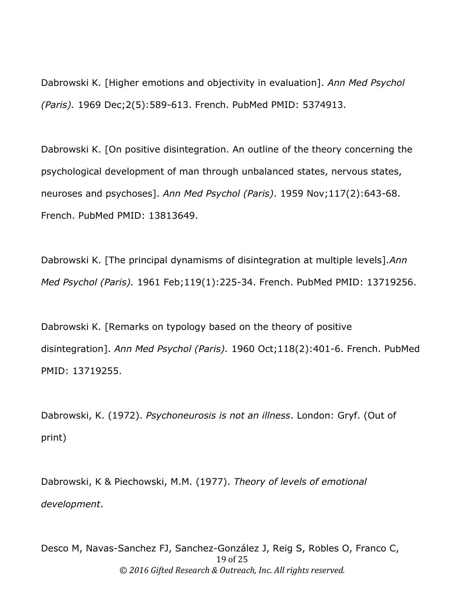Dabrowski K. [Higher emotions and objectivity in evaluation]. *Ann Med Psychol (Paris).* 1969 Dec;2(5):589-613. French. PubMed PMID: 5374913.

Dabrowski K. [On positive disintegration. An outline of the theory concerning the psychological development of man through unbalanced states, nervous states, neuroses and psychoses]. *Ann Med Psychol (Paris)*. 1959 Nov;117(2):643-68. French. PubMed PMID: 13813649.

Dabrowski K. [The principal dynamisms of disintegration at multiple levels].*Ann Med Psychol (Paris).* 1961 Feb;119(1):225-34. French. PubMed PMID: 13719256.

Dabrowski K. [Remarks on typology based on the theory of positive disintegration]. *Ann Med Psychol (Paris).* 1960 Oct;118(2):401-6. French. PubMed PMID: 13719255.

Dabrowski, K. (1972). *Psychoneurosis is not an illness*. London: Gryf. (Out of print)

Dabrowski, K & Piechowski, M.M. (1977). *Theory of levels of emotional development*.

19 of 25 © *2016 Gifted Research & Outreach, Inc. All rights reserved.* Desco M, Navas-Sanchez FJ, Sanchez-González J, Reig S, Robles O, Franco C,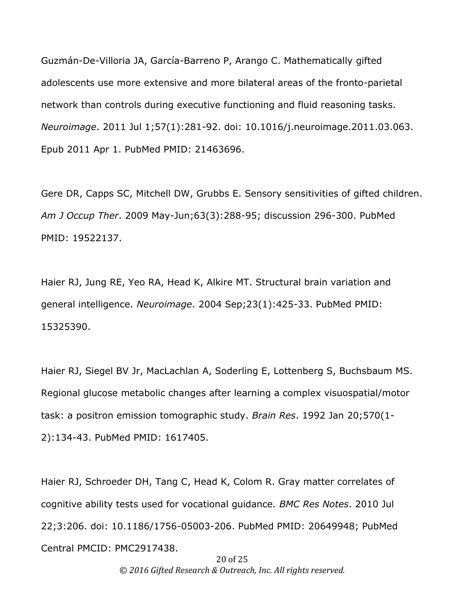Guzmán-De-Villoria JA, García-Barreno P, Arango C. Mathematically gifted adolescents use more extensive and more bilateral areas of the fronto-parietal network than controls during executive functioning and fluid reasoning tasks. *Neuroimage*. 2011 Jul 1;57(1):281-92. doi: 10.1016/j.neuroimage.2011.03.063. Epub 2011 Apr 1. PubMed PMID: 21463696.

Gere DR, Capps SC, Mitchell DW, Grubbs E. Sensory sensitivities of gifted children. *Am J Occup Ther*. 2009 May-Jun;63(3):288-95; discussion 296-300. PubMed PMID: 19522137.

Haier RJ, Jung RE, Yeo RA, Head K, Alkire MT. Structural brain variation and general intelligence. *Neuroimage*. 2004 Sep;23(1):425-33. PubMed PMID: 15325390.

Haier RJ, Siegel BV Jr, MacLachlan A, Soderling E, Lottenberg S, Buchsbaum MS. Regional glucose metabolic changes after learning a complex visuospatial/motor task: a positron emission tomographic study. *Brain Res*. 1992 Jan 20;570(1- 2):134-43. PubMed PMID: 1617405.

Haier RJ, Schroeder DH, Tang C, Head K, Colom R. Gray matter correlates of cognitive ability tests used for vocational guidance*. BMC Res Notes*. 2010 Jul 22;3:206. doi: 10.1186/1756-05003-206. PubMed PMID: 20649948; PubMed Central PMCID: PMC2917438.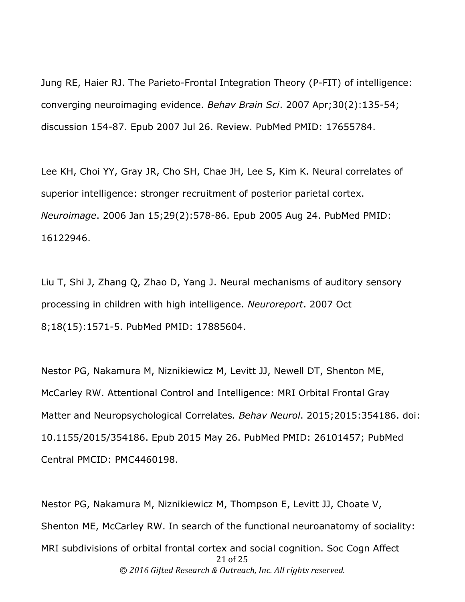Jung RE, Haier RJ. The Parieto-Frontal Integration Theory (P-FIT) of intelligence: converging neuroimaging evidence. *Behav Brain Sci*. 2007 Apr;30(2):135-54; discussion 154-87. Epub 2007 Jul 26. Review. PubMed PMID: 17655784.

Lee KH, Choi YY, Gray JR, Cho SH, Chae JH, Lee S, Kim K. Neural correlates of superior intelligence: stronger recruitment of posterior parietal cortex. *Neuroimage*. 2006 Jan 15;29(2):578-86. Epub 2005 Aug 24. PubMed PMID: 16122946.

Liu T, Shi J, Zhang Q, Zhao D, Yang J. Neural mechanisms of auditory sensory processing in children with high intelligence. *Neuroreport*. 2007 Oct 8;18(15):1571-5. PubMed PMID: 17885604.

Nestor PG, Nakamura M, Niznikiewicz M, Levitt JJ, Newell DT, Shenton ME, McCarley RW. Attentional Control and Intelligence: MRI Orbital Frontal Gray Matter and Neuropsychological Correlates*. Behav Neurol*. 2015;2015:354186. doi: 10.1155/2015/354186. Epub 2015 May 26. PubMed PMID: 26101457; PubMed Central PMCID: PMC4460198.

21 of 25 © *2016 Gifted Research & Outreach, Inc. All rights reserved.* Nestor PG, Nakamura M, Niznikiewicz M, Thompson E, Levitt JJ, Choate V, Shenton ME, McCarley RW. In search of the functional neuroanatomy of sociality: MRI subdivisions of orbital frontal cortex and social cognition. Soc Cogn Affect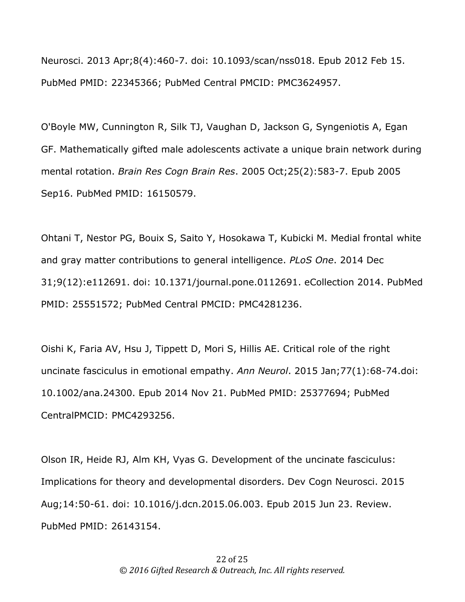Neurosci. 2013 Apr;8(4):460-7. doi: 10.1093/scan/nss018. Epub 2012 Feb 15. PubMed PMID: 22345366; PubMed Central PMCID: PMC3624957.

O'Boyle MW, Cunnington R, Silk TJ, Vaughan D, Jackson G, Syngeniotis A, Egan GF. Mathematically gifted male adolescents activate a unique brain network during mental rotation. *Brain Res Cogn Brain Res*. 2005 Oct;25(2):583-7. Epub 2005 Sep16. PubMed PMID: 16150579.

Ohtani T, Nestor PG, Bouix S, Saito Y, Hosokawa T, Kubicki M. Medial frontal white and gray matter contributions to general intelligence. *PLoS One*. 2014 Dec 31;9(12):e112691. doi: 10.1371/journal.pone.0112691. eCollection 2014. PubMed PMID: 25551572; PubMed Central PMCID: PMC4281236.

Oishi K, Faria AV, Hsu J, Tippett D, Mori S, Hillis AE. Critical role of the right uncinate fasciculus in emotional empathy. *Ann Neurol*. 2015 Jan;77(1):68-74.doi: 10.1002/ana.24300. Epub 2014 Nov 21. PubMed PMID: 25377694; PubMed CentralPMCID: PMC4293256.

Olson IR, Heide RJ, Alm KH, Vyas G. Development of the uncinate fasciculus: Implications for theory and developmental disorders. Dev Cogn Neurosci. 2015 Aug;14:50-61. doi: 10.1016/j.dcn.2015.06.003. Epub 2015 Jun 23. Review. PubMed PMID: 26143154.